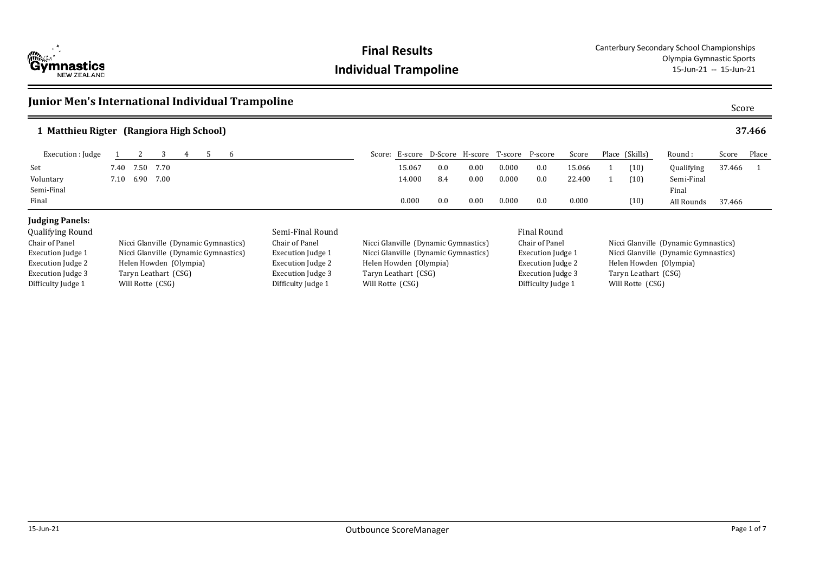

Execution Judge 3 Taryn Leathart (CSG) Difficulty Judge 1 Will Rotte (CSG)

Execution Judge 3 Taryn Leathart (CSG)<br>Difficulty Judge 1 Will Rotte (CSG)

Difficulty Judge 1

### **Junior Men's International Individual Trampoline** Score Score Score Score Score **Matthieu Rigter (Rangiora High School) 1 37.466** 37.466 Round : Qualifying Semi-Final Final All Rounds Score Place 37.466 1 Execution : Judge 1 2 3 4 5 6 Score: E-score D-Score: H-score T-score P-score Score: Score: E-score P-score P-score Score Place (Skills) Set 7.40 7.50 7.70 15.067 0.0 0.00 0.000 0.0 15.066 1 (10) Voluntary 7.10 6.90 7.00 14.000 8.4 0.00 0.000 0.0 22.400 1 (10) Semi-Final 0.000 0.000 0.000 0.000 0.000 0.000 0.000 0.000 0.000 0.000 0.000 0.000 0.000 0.000 0.000 0.000 0.000 0.000 0.000 0.000 0.000 0.000 0.000 0.000 0.000 0.000 0.000 0.000 0.000 0.000 0.000 0.000 0.000 0.000 0.000 0 Final 0.000 0.0 0.00 0.000 0.0 0.000 (10) **Judging Panels:** Qualifying Round Semi-Final Round Final Round Chair of Panel Nicci Glanville (Dynamic Gymnastics) Execution Judge 1 Nicci Glanville (Dynamic Gymnastics) Execution Judge 2 Helen Howden (Olympia) Chair of Panel Nicci Glanville (Dynamic Gymnastics) Execution Judge 1 Nicci Glanville (Dynamic Gymnastics)<br>Execution Judge 2 Helen Howden (Olympia) Helen Howden (Olympia) Chair of Panel Nicci Glanville (Dynamic Gymnastics) Execution Judge 1 Nicci Glanville (Dynamic Gymnastics) Execution Judge 2 Helen Howden (Olympia)

Execution Judge 3 Taryn Leathart (CSG)<br>Difficulty Judge 1 Will Rotte (CSG)

Difficulty Judge 1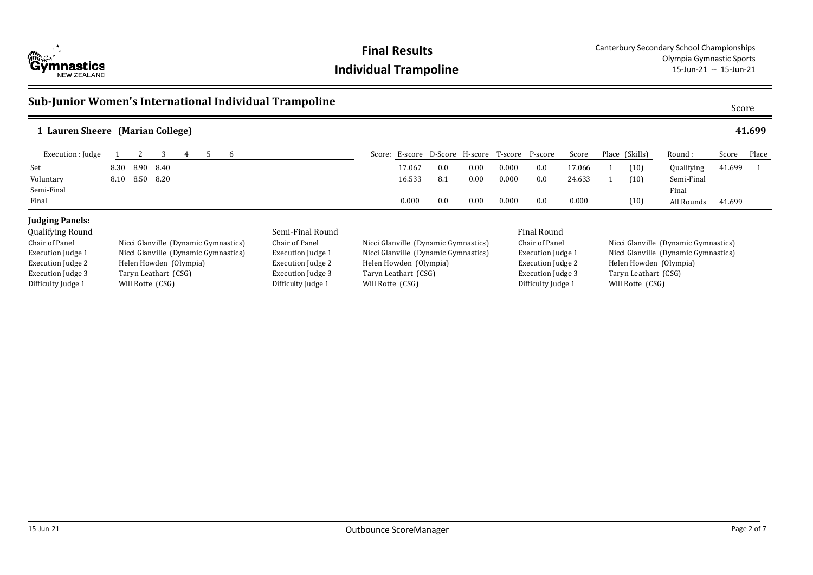

### **Sub-Junior Women's International Individual Trampoline**

|                          | 1 Lauren Sheere (Marian College)     |                          |                        |                                                            |                                                |      |       |                   |        |                      |                                      |                                      |        | 41.699 |  |
|--------------------------|--------------------------------------|--------------------------|------------------------|------------------------------------------------------------|------------------------------------------------|------|-------|-------------------|--------|----------------------|--------------------------------------|--------------------------------------|--------|--------|--|
| Execution : Judge        | 3<br>6<br>5                          |                          |                        |                                                            | Score: E-score D-Score H-score T-score P-score |      |       |                   | Score  |                      | Place (Skills)                       | Round :                              | Score  | Place  |  |
| Set                      | 8.90<br>8.40<br>8.30                 |                          |                        | 17.067                                                     | 0.0                                            | 0.00 | 0.000 | 0.0               | 17.066 |                      | (10)                                 | Qualifying                           | 41.699 |        |  |
| Voluntary                | 8.50<br>8.20<br>8.10                 |                          |                        | 16.533                                                     | 8.1                                            | 0.00 | 0.000 | 0.0               | 24.633 |                      | (10)                                 | Semi-Final                           |        |        |  |
| Semi-Final               |                                      |                          |                        |                                                            |                                                |      |       |                   |        |                      |                                      | Final                                |        |        |  |
| Final                    |                                      |                          |                        | 0.000                                                      | 0.0                                            | 0.00 | 0.000 | 0.0               | 0.000  |                      | (10)                                 | All Rounds                           | 41.699 |        |  |
| <b>Judging Panels:</b>   |                                      |                          |                        |                                                            |                                                |      |       |                   |        |                      |                                      |                                      |        |        |  |
| <b>Qualifying Round</b>  |                                      | Semi-Final Round         |                        |                                                            |                                                |      |       | Final Round       |        |                      |                                      |                                      |        |        |  |
| Chair of Panel           | Nicci Glanville (Dynamic Gymnastics) | Chair of Panel           |                        |                                                            | Nicci Glanville (Dynamic Gymnastics)           |      |       | Chair of Panel    |        |                      | Nicci Glanville (Dynamic Gymnastics) |                                      |        |        |  |
| <b>Execution Judge 1</b> | Nicci Glanville (Dynamic Gymnastics) | <b>Execution Judge 1</b> |                        |                                                            | Nicci Glanville (Dynamic Gymnastics)           |      |       | Execution Judge 1 |        |                      |                                      | Nicci Glanville (Dynamic Gymnastics) |        |        |  |
| Execution Judge 2        | Helen Howden (Olympia)               | Execution Judge 2        | Helen Howden (Olympia) |                                                            |                                                |      |       | Execution Judge 2 |        |                      | Helen Howden (Olympia)               |                                      |        |        |  |
| Execution Judge 3        | Taryn Leathart (CSG)                 | Execution Judge 3        |                        | Taryn Leathart (CSG)                                       |                                                |      |       | Execution Judge 3 |        | Taryn Leathart (CSG) |                                      |                                      |        |        |  |
| Difficulty Judge 1       | Will Rotte (CSG)                     | Difficulty Judge 1       |                        | Difficulty Judge 1<br>Will Rotte (CSG)<br>Will Rotte (CSG) |                                                |      |       |                   |        |                      |                                      |                                      |        |        |  |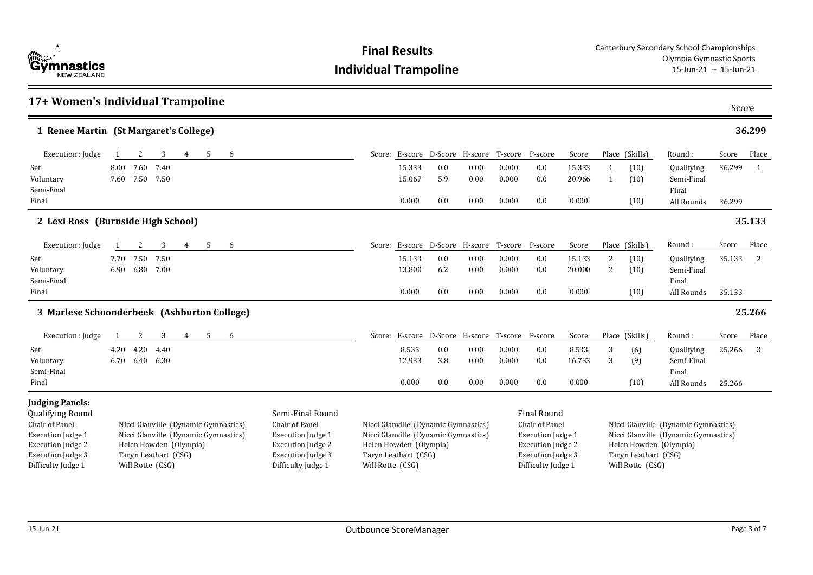| <b>Cymnastics</b><br><b>NEW ZEALAND</b> |
|-----------------------------------------|

|                                                                                                                                                                               | 17+ Women's Individual Trampoline                                                                                                                                                                                                                                                                  |                        |                   |   |   |   |  |  |                                                                    |                                                                              |                      |                                   |                                                                                                                                         |                           | Score                        |                                                                    |                                                                              |                  |            |
|-------------------------------------------------------------------------------------------------------------------------------------------------------------------------------|----------------------------------------------------------------------------------------------------------------------------------------------------------------------------------------------------------------------------------------------------------------------------------------------------|------------------------|-------------------|---|---|---|--|--|--------------------------------------------------------------------|------------------------------------------------------------------------------|----------------------|-----------------------------------|-----------------------------------------------------------------------------------------------------------------------------------------|---------------------------|------------------------------|--------------------------------------------------------------------|------------------------------------------------------------------------------|------------------|------------|
| 1 Renee Martin (St Margaret's College)                                                                                                                                        |                                                                                                                                                                                                                                                                                                    |                        |                   |   |   |   |  |  |                                                                    |                                                                              |                      |                                   |                                                                                                                                         |                           |                              |                                                                    |                                                                              |                  | 36.299     |
| Execution : Judge                                                                                                                                                             |                                                                                                                                                                                                                                                                                                    | 2                      | 3                 | 4 | 5 | 6 |  |  |                                                                    | Score: E-score D-Score H-score T-score P-score                               |                      |                                   |                                                                                                                                         | Score                     |                              | Place (Skills)                                                     | Round :                                                                      | Score            | Place      |
| Set<br>Voluntary<br>Semi-Final<br>Final                                                                                                                                       | 8.00                                                                                                                                                                                                                                                                                               | 7.60<br>7.60 7.50      | 7.40<br>7.50      |   |   |   |  |  | 15.333<br>15.067<br>0.000                                          | 0.0<br>5.9<br>0.0                                                            | 0.00<br>0.00<br>0.00 | 0.000<br>0.000<br>0.000           | 0.0<br>0.0<br>0.0                                                                                                                       | 15.333<br>20.966<br>0.000 | $\mathbf{1}$<br>$\mathbf{1}$ | (10)<br>(10)<br>(10)                                               | Qualifying<br>Semi-Final<br>Final<br>All Rounds                              | 36.299<br>36.299 | 1          |
| 2 Lexi Ross (Burnside High School)                                                                                                                                            |                                                                                                                                                                                                                                                                                                    |                        |                   |   |   |   |  |  |                                                                    |                                                                              |                      |                                   |                                                                                                                                         |                           | 35.133                       |                                                                    |                                                                              |                  |            |
| Execution : Judge                                                                                                                                                             |                                                                                                                                                                                                                                                                                                    | 2                      | 3                 | 4 | 5 | 6 |  |  |                                                                    | Score: E-score D-Score H-score                                               |                      | T-score                           | P-score                                                                                                                                 | Score                     |                              | Place (Skills)                                                     | Round:                                                                       | Score            | Place      |
| Set<br>Voluntary<br>Semi-Final<br>Final                                                                                                                                       | 7.70                                                                                                                                                                                                                                                                                               | 7.50<br>6.90 6.80      | 7.50<br>7.00      |   |   |   |  |  | 15.133<br>13.800<br>0.000                                          | 0.0<br>6.2<br>0.0                                                            | 0.00<br>0.00<br>0.00 | 0.000<br>0.000<br>0.000           | 0.0<br>0.0<br>0.0                                                                                                                       | 15.133<br>20.000<br>0.000 | 2<br>2                       | (10)<br>(10)<br>(10)                                               | Qualifying<br>Semi-Final<br>Final<br>All Rounds                              | 35.133<br>35.133 | 2          |
| 3 Marlese Schoonderbeek (Ashburton College)                                                                                                                                   |                                                                                                                                                                                                                                                                                                    |                        |                   |   |   |   |  |  |                                                                    |                                                                              |                      |                                   |                                                                                                                                         |                           |                              |                                                                    |                                                                              |                  | 25.266     |
| Execution : Judge<br>Set<br>Voluntary                                                                                                                                         | 4.20                                                                                                                                                                                                                                                                                               | 2<br>4.20<br>6.70 6.40 | 3<br>4.40<br>6.30 | 4 | 5 | 6 |  |  | 8.533<br>12.933                                                    | Score: E-score D-Score H-score<br>0.0<br>3.8                                 | 0.00<br>0.00         | T-score P-score<br>0.000<br>0.000 | 0.0<br>0.0                                                                                                                              | Score<br>8.533<br>16.733  | 3<br>3                       | Place (Skills)<br>(6)<br>(9)                                       | Round:<br>Qualifying<br>Semi-Final                                           | Score<br>25.266  | Place<br>3 |
| Semi-Final<br>Final                                                                                                                                                           |                                                                                                                                                                                                                                                                                                    |                        |                   |   |   |   |  |  | 0.000                                                              | 0.0                                                                          | 0.00                 | 0.000                             | 0.0                                                                                                                                     | 0.000                     |                              | (10)                                                               | Final<br>All Rounds                                                          | 25.266           |            |
| <b>Judging Panels:</b><br><b>Qualifying Round</b><br>Chair of Panel<br><b>Execution Judge 1</b><br><b>Execution Judge 2</b><br><b>Execution Judge 3</b><br>Difficulty Judge 1 | Semi-Final Round<br>Nicci Glanville (Dynamic Gymnastics)<br>Chair of Panel<br>Nicci Glanville (Dynamic Gymnastics)<br><b>Execution Judge 1</b><br>Helen Howden (Olympia)<br><b>Execution Judge 2</b><br>Taryn Leathart (CSG)<br><b>Execution Judge 3</b><br>Will Rotte (CSG)<br>Difficulty Judge 1 |                        |                   |   |   |   |  |  | Helen Howden (Olympia)<br>Taryn Leathart (CSG)<br>Will Rotte (CSG) | Nicci Glanville (Dynamic Gymnastics)<br>Nicci Glanville (Dynamic Gymnastics) |                      |                                   | <b>Final Round</b><br>Chair of Panel<br>Execution Judge 1<br><b>Execution Judge 2</b><br><b>Execution Judge 3</b><br>Difficulty Judge 1 |                           |                              | Helen Howden (Olympia)<br>Taryn Leathart (CSG)<br>Will Rotte (CSG) | Nicci Glanville (Dynamic Gymnastics)<br>Nicci Glanville (Dynamic Gymnastics) |                  |            |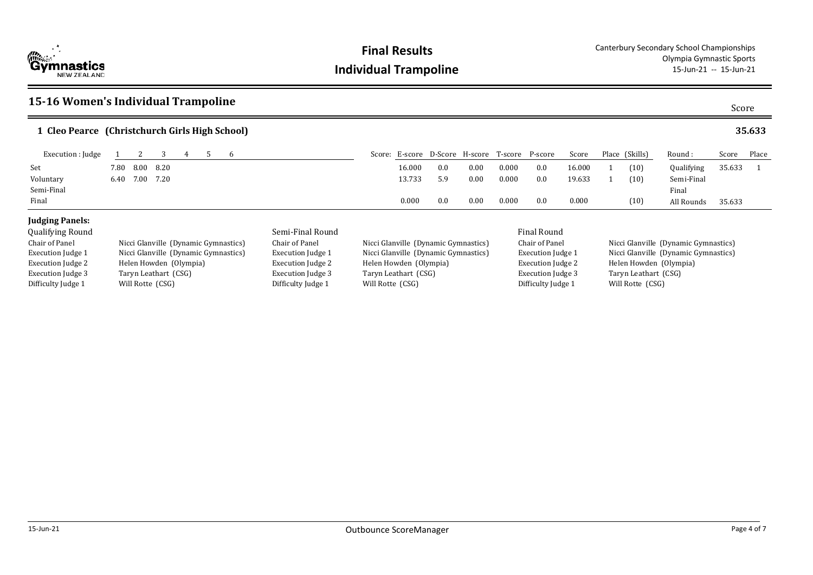

Difficulty Judge 1 Will Rotte (CSG)

### **15-16 Women's Individual Trampoline** Score **Cleo Pearce (Christchurch Girls High School) 1 35.633** 35.633 Round : Qualifying Semi-Final Final All Rounds Score Place 35.633 1 Execution : Judge 1 2 3 4 5 6 Score: E-score D-Score: H-score T-score P-score Score: Score: E-score P-score P-score Score Place (Skills) Set 7.80 8.00 8.20 16.000 0.0 0.00 0.000 0.0 16.000 1 (10) Voluntary 6.40 7.00 7.20 13.733 5.9 0.00 0.000 0.0 19.633 1 (10) Semi-Final 0.000 0.000 0.000 0.000 0.000 0.000 0.000 0.000 0.000 0.000 0.000 0.000 0.000 0.000 0.000 0.000 0.000 0.000 0.000 0.000 0.000 0.000 0.000 0.000 0.000 0.000 0.000 0.000 0.000 0.000 0.000 0.000 0.000 0.000 0.000 0 Final 0.000 0.0 0.00 0.000 0.0 0.000 (10) **Judging Panels:** Qualifying Round Semi-Final Round Final Round Chair of Panel Nicci Glanville (Dynamic Gymnastics) Execution Judge 1 Nicci Glanville (Dynamic Gymnastics) Execution Judge 2 Helen Howden (Olympia) Execution Judge 3 Taryn Leathart (CSG) Chair of Panel Nicci Glanville (Dynamic Gymnastics) Execution Judge 1 Nicci Glanville (Dynamic Gymnastics)<br>Execution Judge 2 Helen Howden (Olympia) Helen Howden (Olympia) Execution Judge 3 Taryn Leathart (CSG)<br>Difficulty Judge 1 Will Rotte (CSG) Chair of Panel Nicci Glanville (Dynamic Gymnastics) Execution Judge 1 Nicci Glanville (Dynamic Gymnastics) Execution Judge 2 Helen Howden (Olympia) Execution Judge 3 Taryn Leathart (CSG)<br>Difficulty Judge 1 Will Rotte (CSG)

Difficulty Judge 1

Difficulty Judge 1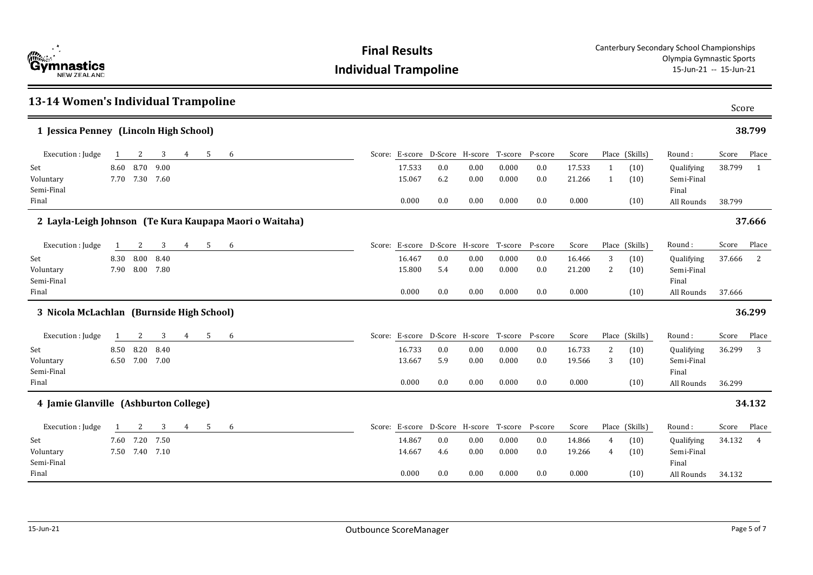| 13-14 Women's Individual Trampoline       |   |                             |              |                |   |   |                                                         |                           |                   |                                                |                         |                       |                           |                     |                      |                                                 | Score            |                |
|-------------------------------------------|---|-----------------------------|--------------|----------------|---|---|---------------------------------------------------------|---------------------------|-------------------|------------------------------------------------|-------------------------|-----------------------|---------------------------|---------------------|----------------------|-------------------------------------------------|------------------|----------------|
| 1 Jessica Penney (Lincoln High School)    |   |                             |              |                |   |   |                                                         |                           |                   |                                                |                         |                       |                           |                     |                      |                                                 |                  | 38.799         |
| Execution : Judge                         | 1 | 2                           | 3            | 4              | 5 | 6 |                                                         |                           |                   | Score: E-score D-Score H-score T-score P-score |                         |                       | Score                     |                     | Place (Skills)       | Round:                                          | Score            | Place          |
| Set<br>Voluntary<br>Semi-Final<br>Final   |   | 8.60 8.70<br>7.70 7.30 7.60 | 9.00         |                |   |   |                                                         | 17.533<br>15.067<br>0.000 | 0.0<br>6.2<br>0.0 | 0.00<br>0.00<br>0.00                           | 0.000<br>0.000<br>0.000 | 0.0<br>0.0<br>0.0     | 17.533<br>21.266<br>0.000 | 1<br>$\mathbf{1}$   | (10)<br>(10)<br>(10) | Qualifying<br>Semi-Final<br>Final<br>All Rounds | 38.799<br>38.799 | 1              |
|                                           |   |                             |              |                |   |   | 2 Layla-Leigh Johnson (Te Kura Kaupapa Maori o Waitaha) |                           |                   |                                                |                         |                       |                           |                     |                      |                                                 |                  | 37.666         |
| Execution : Judge                         | 1 | 2                           | 3            | 4              | 5 | 6 |                                                         |                           |                   | Score: E-score D-Score H-score T-score P-score |                         |                       | Score                     |                     | Place (Skills)       | Round:                                          | Score            | Place          |
| Set<br>Voluntary<br>Semi-Final<br>Final   |   | 8.30 8.00<br>7.90 8.00      | 8.40<br>7.80 |                |   |   |                                                         | 16.467<br>15.800<br>0.000 | 0.0<br>5.4<br>0.0 | 0.00<br>0.00<br>0.00                           | 0.000<br>0.000<br>0.000 | 0.0<br>0.0<br>0.0     | 16.466<br>21.200<br>0.000 | 3<br>2              | (10)<br>(10)<br>(10) | Qualifying<br>Semi-Final<br>Final<br>All Rounds | 37.666<br>37.666 | 2              |
| 3 Nicola McLachlan (Burnside High School) |   |                             |              |                |   |   |                                                         |                           |                   |                                                |                         |                       |                           |                     |                      |                                                 |                  | 36.299         |
| Execution : Judge                         | 1 | 2                           | 3            | 4              | 5 | 6 |                                                         |                           |                   | Score: E-score D-Score H-score T-score P-score |                         |                       | Score                     |                     | Place (Skills)       | Round:                                          | Score            | Place          |
| Set<br>Voluntary<br>Semi-Final<br>Final   |   | 8.50 8.20<br>6.50 7.00 7.00 | 8.40         |                |   |   |                                                         | 16.733<br>13.667<br>0.000 | 0.0<br>5.9<br>0.0 | 0.00<br>0.00<br>0.00                           | 0.000<br>0.000<br>0.000 | 0.0<br>0.0<br>0.0     | 16.733<br>19.566<br>0.000 | 2<br>3              | (10)<br>(10)<br>(10) | Qualifying<br>Semi-Final<br>Final<br>All Rounds | 36.299<br>36.299 | 3              |
| 4 Jamie Glanville (Ashburton College)     |   |                             |              |                |   |   |                                                         |                           |                   |                                                |                         |                       |                           |                     |                      |                                                 |                  | 34.132         |
| Execution : Judge                         | 1 | 2                           | 3            | $\overline{4}$ | 5 | 6 |                                                         |                           |                   | Score: E-score D-Score H-score T-score         |                         | P-score               | Score                     |                     | Place (Skills)       | Round:                                          | Score            | Place          |
| Set<br>Voluntary<br>Semi-Final<br>Final   |   | 7.60 7.20<br>7.50 7.40 7.10 | 7.50         |                |   |   |                                                         | 14.867<br>14.667<br>0.000 | 0.0<br>4.6<br>0.0 | 0.00<br>0.00<br>0.00                           | 0.000<br>0.000<br>0.000 | $0.0\,$<br>0.0<br>0.0 | 14.866<br>19.266<br>0.000 | $\overline{4}$<br>4 | (10)<br>(10)<br>(10) | Qualifying<br>Semi-Final<br>Final<br>All Rounds | 34.132<br>34.132 | $\overline{4}$ |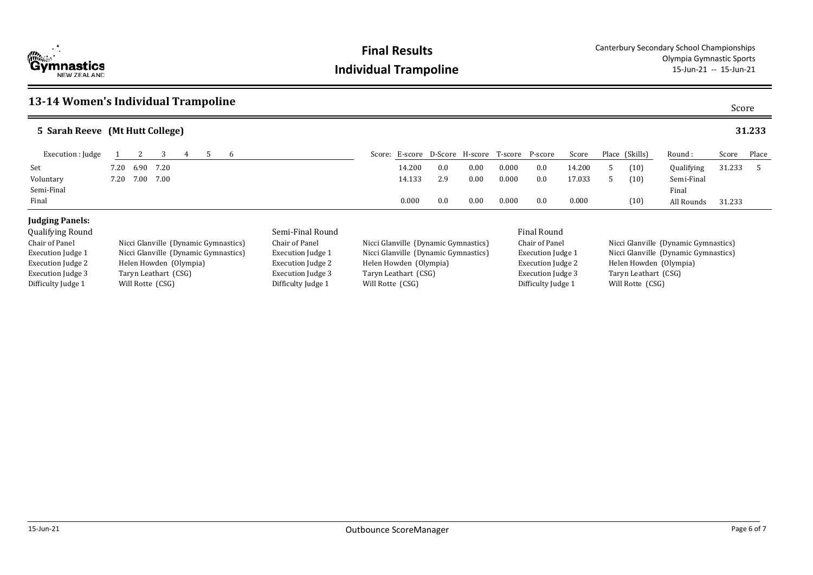

### **13-14 Women's Individual Trampoline**

| ×<br>×<br>×<br>۰,<br>۰.<br>۹<br>×<br>I |
|----------------------------------------|
|----------------------------------------|

| 5 Sarah Reeve (Mt Hutt College) |      |                                        |                                      |   |  |   |                          |        |                                                                          |     |                 |       |                    |        |                        |                                      | 31.233                               |        |               |  |  |  |  |
|---------------------------------|------|----------------------------------------|--------------------------------------|---|--|---|--------------------------|--------|--------------------------------------------------------------------------|-----|-----------------|-------|--------------------|--------|------------------------|--------------------------------------|--------------------------------------|--------|---------------|--|--|--|--|
| Execution : Judge               |      |                                        | 3                                    | 4 |  | 6 |                          | Score: | E-score                                                                  |     | D-Score H-score |       | T-score P-score    | Score  |                        | Place (Skills)                       | Round :                              | Score  | Place         |  |  |  |  |
| Set                             | 7.20 | 6.90                                   | 7.20                                 |   |  |   |                          |        | 14.200                                                                   | 0.0 | 0.00            | 0.000 | 0.0                | 14.200 |                        | (10)                                 | Qualifying                           | 31.233 | $\mathcal{F}$ |  |  |  |  |
| Voluntary                       | 7.20 | 7.00                                   | 7.00                                 |   |  |   |                          |        | 14.133                                                                   | 2.9 | 0.00            | 0.000 | 0.0                | 17.033 |                        | (10)                                 | Semi-Final                           |        |               |  |  |  |  |
| Semi-Final                      |      |                                        |                                      |   |  |   |                          |        |                                                                          |     |                 |       |                    |        |                        |                                      | Final                                |        |               |  |  |  |  |
| Final                           |      |                                        |                                      |   |  |   |                          |        | 0.000                                                                    | 0.0 | 0.00            | 0.000 | 0.0                | 0.000  |                        | (10)                                 | All Rounds                           | 31.233 |               |  |  |  |  |
| <b>Judging Panels:</b>          |      |                                        |                                      |   |  |   |                          |        |                                                                          |     |                 |       |                    |        |                        |                                      |                                      |        |               |  |  |  |  |
| <b>Qualifying Round</b>         |      |                                        |                                      |   |  |   | Semi-Final Round         |        |                                                                          |     |                 |       | <b>Final Round</b> |        |                        |                                      |                                      |        |               |  |  |  |  |
| Chair of Panel                  |      |                                        | Nicci Glanville (Dynamic Gymnastics) |   |  |   | Chair of Panel           |        | Nicci Glanville (Dynamic Gymnastics)                                     |     |                 |       | Chair of Panel     |        |                        | Nicci Glanville (Dynamic Gymnastics) |                                      |        |               |  |  |  |  |
| <b>Execution Judge 1</b>        |      |                                        | Nicci Glanville (Dynamic Gymnastics) |   |  |   | <b>Execution Judge 1</b> |        | Nicci Glanville (Dynamic Gymnastics)                                     |     |                 |       | Execution Judge 1  |        |                        |                                      | Nicci Glanville (Dynamic Gymnastics) |        |               |  |  |  |  |
| Execution Judge 2               |      |                                        | Helen Howden (Olympia)               |   |  |   | <b>Execution Judge 2</b> |        | Helen Howden (Olympia)                                                   |     |                 |       | Execution Judge 2  |        | Helen Howden (Olympia) |                                      |                                      |        |               |  |  |  |  |
| Execution Judge 3               |      |                                        | Taryn Leathart (CSG)                 |   |  |   | Execution Judge 3        |        | <b>Execution Judge 3</b><br>Taryn Leathart (CSG)<br>Taryn Leathart (CSG) |     |                 |       |                    |        |                        |                                      |                                      |        |               |  |  |  |  |
| Difficulty Judge 1              |      | Difficulty Judge 1<br>Will Rotte (CSG) |                                      |   |  |   |                          |        | Difficulty Judge 1<br>Will Rotte (CSG)                                   |     |                 |       |                    |        |                        | Will Rotte (CSG)                     |                                      |        |               |  |  |  |  |